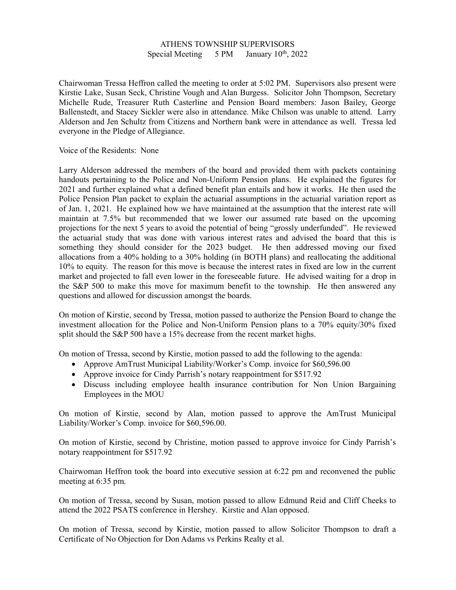## ATHENS TOWNSHIP SUPERVISORS Special Meeting  $5 PM$  January  $10<sup>th</sup>$ , 2022

Chairwoman Tressa Heffron called the meeting to order at 5:02 PM. Supervisors also present were Kirstie Lake, Susan Seck, Christine Vough and Alan Burgess. Solicitor John Thompson, Secretary Michelle Rude, Treasurer Ruth Casterline and Pension Board members: Jason Bailey, George Ballenstedt, and Stacey Sickler were also in attendance. Mike Chilson was unable to attend. Larry Alderson and Jen Schultz from Citizens and Northern bank were in attendance as well. Tressa led everyone in the Pledge of Allegiance.

Voice of the Residents: None

Larry Alderson addressed the members of the board and provided them with packets containing handouts pertaining to the Police and Non-Uniform Pension plans. He explained the figures for 2021 and further explained what a defined benefit plan entails and how it works. He then used the Police Pension Plan packet to explain the actuarial assumptions in the actuarial variation report as of Jan. 1, 2021. He explained how we have maintained at the assumption that the interest rate will maintain at 7.5% but recommended that we lower our assumed rate based on the upcoming projections for the next 5 years to avoid the potential of being "grossly underfunded". He reviewed the actuarial study that was done with various interest rates and advised the board that this is something they should consider for the 2023 budget. He then addressed moving our fixed allocations from a 40% holding to a 30% holding (in BOTH plans) and reallocating the additional 10% to equity. The reason for this move is because the interest rates in fixed are low in the current market and projected to fall even lower in the foreseeable future. He advised waiting for a drop in the S&P 500 to make this move for maximum benefit to the township. He then answered any questions and allowed for discussion amongst the boards.

On motion of Kirstie, second by Tressa, motion passed to authorize the Pension Board to change the investment allocation for the Police and Non-Uniform Pension plans to a 70% equity/30% fixed split should the S&P 500 have a 15% decrease from the recent market highs.

On motion of Tressa, second by Kirstie, motion passed to add the following to the agenda:

- Approve AmTrust Municipal Liability/Worker's Comp. invoice for \$60,596.00
- Approve invoice for Cindy Parrish's notary reappointment for \$517.92
- Discuss including employee health insurance contribution for Non Union Bargaining Employees in the MOU

On motion of Kirstie, second by Alan, motion passed to approve the AmTrust Municipal Liability/Worker's Comp. invoice for \$60,596.00.

On motion of Kirstie, second by Christine, motion passed to approve invoice for Cindy Parrish's notary reappointment for \$517.92

Chairwoman Heffron took the board into executive session at 6:22 pm and reconvened the public meeting at 6:35 pm.

On motion of Tressa, second by Susan, motion passed to allow Edmund Reid and Cliff Cheeks to attend the 2022 PSATS conference in Hershey. Kirstie and Alan opposed.

On motion of Tressa, second by Kirstie, motion passed to allow Solicitor Thompson to draft a Certificate of No Objection for Don Adams vs Perkins Realty et al.